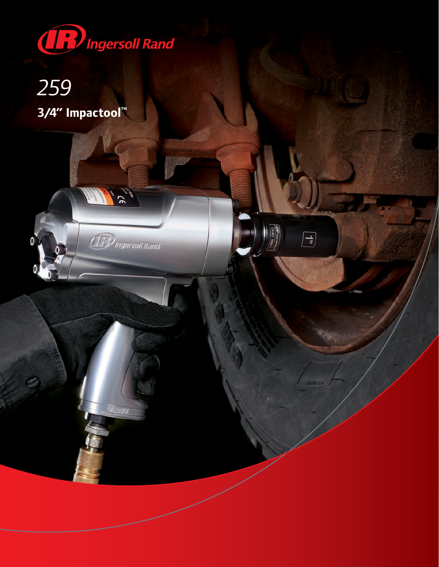

 $50<sub>1</sub>$ 

**IF** Ingersoll Rand

**OII**, DAILY

 $\boxed{\phantom{1}}$ 

## 259 3/4" Impactool™